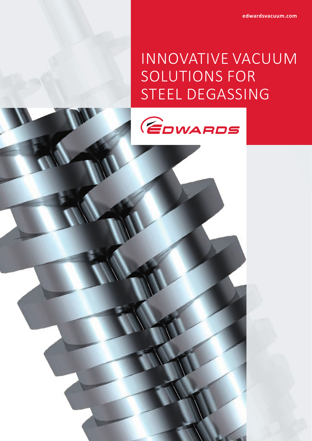**edwardsvacuum.com**

# INNOVATIVE VACUUM SOLUTIONS FOR STEEL DEGASSING

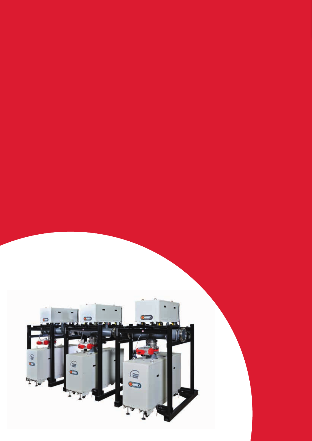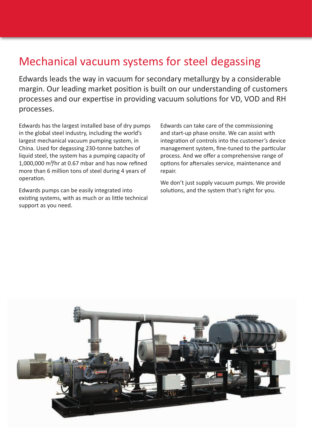## Mechanical vacuum systems for steel degassing

Edwards leads the way in vacuum for secondary metallurgy by a considerable margin. Our leading market position is built on our understanding of customers processes and our expertise in providing vacuum solutions for VD, VOD and RH processes.

Edwards has the largest installed base of dry pumps in the global steel industry, including the world's largest mechanical vacuum pumping system, in China. Used for degassing 230-tonne batches of liquid steel, the system has a pumping capacity of 1,000,000  $\text{m}^3\text{/hr}$  at 0.67 mbar and has now refined more than 6 million tons of steel during 4 years of operation.

Edwards pumps can be easily integrated into existing systems, with as much or as little technical support as you need.

Edwards can take care of the commissioning and start-up phase onsite. We can assist with integration of controls into the customer's device management system, fine-tuned to the particular process. And we offer a comprehensive range of options for aftersales service, maintenance and repair.

We don't just supply vacuum pumps. We provide solutions, and the system that's right for you.

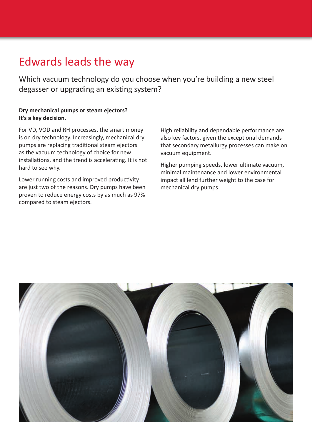## Edwards leads the way

Which vacuum technology do you choose when you're building a new steel degasser or upgrading an existing system?

#### **Dry mechanical pumps or steam ejectors? It's a key decision.**

For VD, VOD and RH processes, the smart money is on dry technology. Increasingly, mechanical dry pumps are replacing traditional steam ejectors as the vacuum technology of choice for new installations, and the trend is accelerating. It is not hard to see why.

Lower running costs and improved productivity are just two of the reasons. Dry pumps have been proven to reduce energy costs by as much as 97% compared to steam ejectors.

High reliability and dependable performance are also key factors, given the exceptional demands that secondary metallurgy processes can make on vacuum equipment.

Higher pumping speeds, lower ultimate vacuum, minimal maintenance and lower environmental impact all lend further weight to the case for mechanical dry pumps.

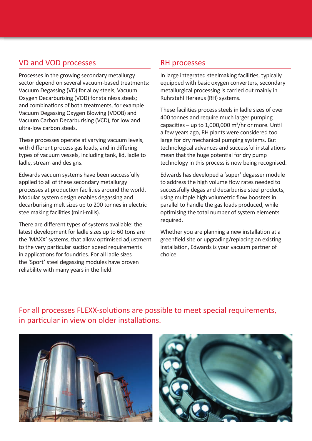### VD and VOD processes

Processes in the growing secondary metallurgy sector depend on several vacuum-based treatments: Vacuum Degassing (VD) for alloy steels; Vacuum Oxygen Decarburising (VOD) for stainless steels; and combinations of both treatments, for example Vacuum Degassing Oxygen Blowing (VDOB) and Vacuum Carbon Decarburising (VCD), for low and ultra-low carbon steels.

These processes operate at varying vacuum levels, with different process gas loads, and in differing types of vacuum vessels, including tank, lid, ladle to ladle, stream and designs.

Edwards vacuum systems have been successfully applied to all of these secondary metallurgy processes at production facilities around the world. Modular system design enables degassing and decarburising melt sizes up to 200 tonnes in electric steelmaking facilities (mini-mills).

There are different types of systems available: the latest development for ladle sizes up to 60 tons are the 'MAXX' systems, that allow optimised adjustment to the very particular suction speed requirements in applications for foundries. For all ladle sizes the 'Sport' steel degassing modules have proven reliability with many years in the field.

#### RH processes

In large integrated steelmaking facilities, typically equipped with basic oxygen converters, secondary metallurgical processing is carried out mainly in Ruhrstahl Heraeus (RH) systems.

These facilities process steels in ladle sizes of over 400 tonnes and require much larger pumping capacities – up to  $1,000,000$  m<sup>3</sup>/hr or more. Until a few years ago, RH plants were considered too large for dry mechanical pumping systems. But technological advances and successful installations mean that the huge potential for dry pump technology in this process is now being recognised.

Edwards has developed a 'super' degasser module to address the high volume flow rates needed to successfully degas and decarburise steel products, using multiple high volumetric flow boosters in parallel to handle the gas loads produced, while optimising the total number of system elements required.

Whether you are planning a new installation at a greenfield site or upgrading/replacing an existing installation, Edwards is your vacuum partner of choice.

For all processes FLEXX-solutions are possible to meet special requirements, in particular in view on older installations.



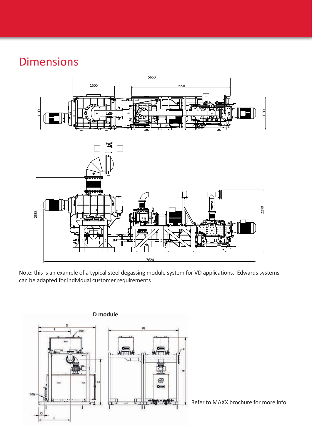## Dimensions



Note: this is an example of a typical steel degassing module system for VD applications. Edwards systems can be adapted for individual customer requirements

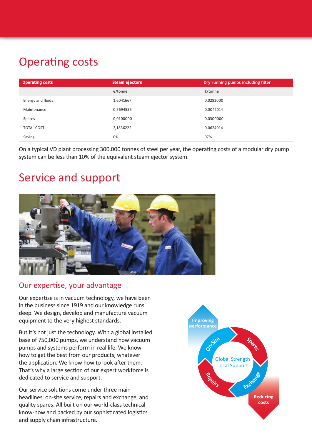## Operating costs

| <b>Operating costs</b> | Steam ejectors | Dry running pumps including filter |
|------------------------|----------------|------------------------------------|
|                        | €/tonne        | €/tonne                            |
| Energy and fluids      | 1,6041667      | 0,0282000                          |
| Maintenance            | 0,5694556      | 0,0042014                          |
| Spares                 | 0,0100000      | 0,0300000                          |
| <b>TOTAL COST</b>      | 2,1836222      | 0,0624014                          |
| Saving                 | 0%             | 97%                                |

On a typical VD plant processing 300,000 tonnes of steel per year, the operating costs of a modular dry pump system can be less than 10% of the equivalent steam ejector system.

## Service and support



#### Our expertise, your advantage

Our expertise is in vacuum technology, we have been in the business since 1919 and our knowledge runs deep. We design, develop and manufacture vacuum equipment to the very highest standards.

But it's not just the technology. With a global installed base of 750,000 pumps, we understand how vacuum pumps and systems perform in real life. We know how to get the best from our products, whatever the application. We know how to look after them. That's why a large section of our expert workforce is dedicated to service and support.

Our service solutions come under three main headlines; on-site service, repairs and exchange, and quality spares. All built on our world-class technical know-how and backed by our sophisticated logistics and supply chain infrastructure.